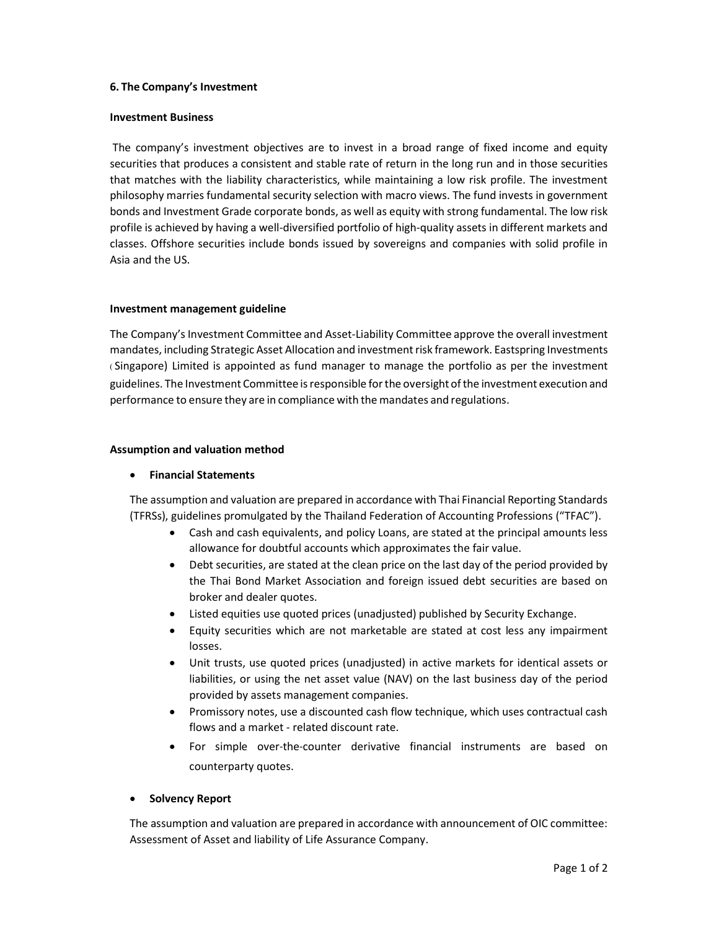### 6. The Company's Investment

#### Investment Business

 The company's investment objectives are to invest in a broad range of fixed income and equity securities that produces a consistent and stable rate of return in the long run and in those securities that matches with the liability characteristics, while maintaining a low risk profile. The investment philosophy marries fundamental security selection with macro views. The fund invests in government bonds and Investment Grade corporate bonds, as well as equity with strong fundamental. The low risk profile is achieved by having a well-diversified portfolio of high-quality assets in different markets and classes. Offshore securities include bonds issued by sovereigns and companies with solid profile in Asia and the US.

### Investment management guideline

The Company's Investment Committee and Asset-Liability Committee approve the overall investment mandates, including Strategic Asset Allocation and investmentrisk framework. Eastspring Investments ( Singapore) Limited is appointed as fund manager to manage the portfolio as per the investment guidelines. The Investment Committee isresponsible forthe oversight ofthe investment execution and performance to ensure they are in compliance with the mandates and regulations.

### Assumption and valuation method

# Financial Statements

The assumption and valuation are prepared in accordance with Thai Financial Reporting Standards (TFRSs), guidelines promulgated by the Thailand Federation of Accounting Professions ("TFAC").

- Cash and cash equivalents, and policy Loans, are stated at the principal amounts less allowance for doubtful accounts which approximates the fair value.
- Debt securities, are stated at the clean price on the last day of the period provided by the Thai Bond Market Association and foreign issued debt securities are based on broker and dealer quotes.
- Listed equities use quoted prices (unadjusted) published by Security Exchange.
- Equity securities which are not marketable are stated at cost less any impairment losses.
- Unit trusts, use quoted prices (unadjusted) in active markets for identical assets or liabilities, or using the net asset value (NAV) on the last business day of the period provided by assets management companies.
- Promissory notes, use a discounted cash flow technique, which uses contractual cash flows and a market - related discount rate.
- For simple over-the-counter derivative financial instruments are based on counterparty quotes.

# Solvency Report

The assumption and valuation are prepared in accordance with announcement of OIC committee: Assessment of Asset and liability of Life Assurance Company.